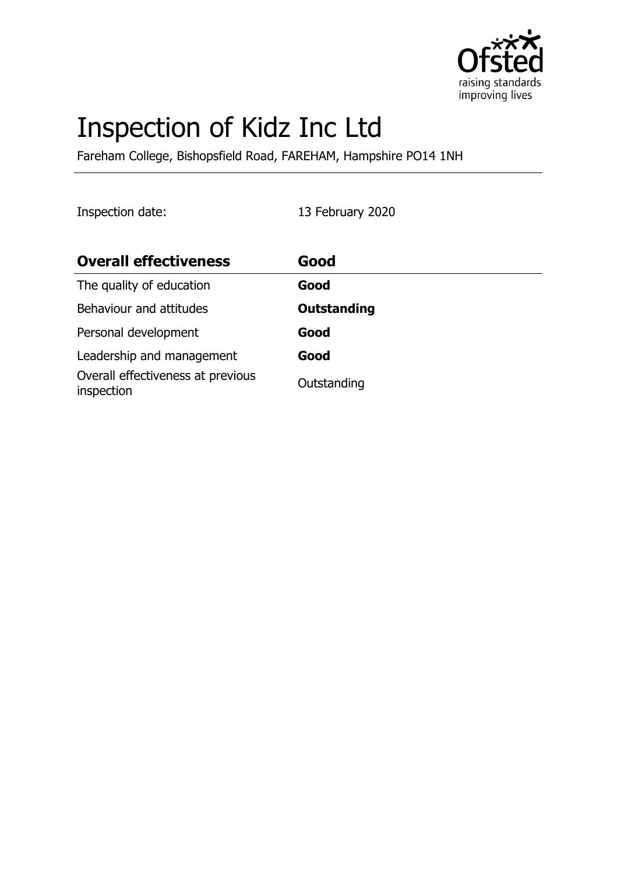

# Inspection of Kidz Inc Ltd

Fareham College, Bishopsfield Road, FAREHAM, Hampshire PO14 1NH

Inspection date: 13 February 2020

| <b>Overall effectiveness</b>                    | Good               |
|-------------------------------------------------|--------------------|
| The quality of education                        | Good               |
| Behaviour and attitudes                         | <b>Outstanding</b> |
| Personal development                            | Good               |
| Leadership and management                       | Good               |
| Overall effectiveness at previous<br>inspection | Outstanding        |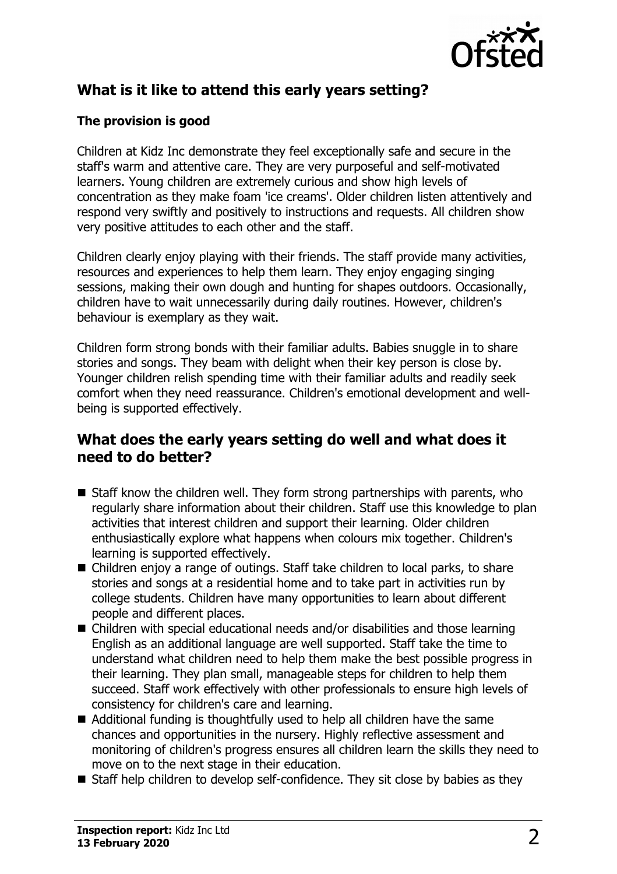

# **What is it like to attend this early years setting?**

## **The provision is good**

Children at Kidz Inc demonstrate they feel exceptionally safe and secure in the staff's warm and attentive care. They are very purposeful and self-motivated learners. Young children are extremely curious and show high levels of concentration as they make foam 'ice creams'. Older children listen attentively and respond very swiftly and positively to instructions and requests. All children show very positive attitudes to each other and the staff.

Children clearly enjoy playing with their friends. The staff provide many activities, resources and experiences to help them learn. They enjoy engaging singing sessions, making their own dough and hunting for shapes outdoors. Occasionally, children have to wait unnecessarily during daily routines. However, children's behaviour is exemplary as they wait.

Children form strong bonds with their familiar adults. Babies snuggle in to share stories and songs. They beam with delight when their key person is close by. Younger children relish spending time with their familiar adults and readily seek comfort when they need reassurance. Children's emotional development and wellbeing is supported effectively.

## **What does the early years setting do well and what does it need to do better?**

- $\blacksquare$  Staff know the children well. They form strong partnerships with parents, who regularly share information about their children. Staff use this knowledge to plan activities that interest children and support their learning. Older children enthusiastically explore what happens when colours mix together. Children's learning is supported effectively.
- Children enjoy a range of outings. Staff take children to local parks, to share stories and songs at a residential home and to take part in activities run by college students. Children have many opportunities to learn about different people and different places.
- $\blacksquare$  Children with special educational needs and/or disabilities and those learning English as an additional language are well supported. Staff take the time to understand what children need to help them make the best possible progress in their learning. They plan small, manageable steps for children to help them succeed. Staff work effectively with other professionals to ensure high levels of consistency for children's care and learning.
- $\blacksquare$  Additional funding is thoughtfully used to help all children have the same chances and opportunities in the nursery. Highly reflective assessment and monitoring of children's progress ensures all children learn the skills they need to move on to the next stage in their education.
- $\blacksquare$  Staff help children to develop self-confidence. They sit close by babies as they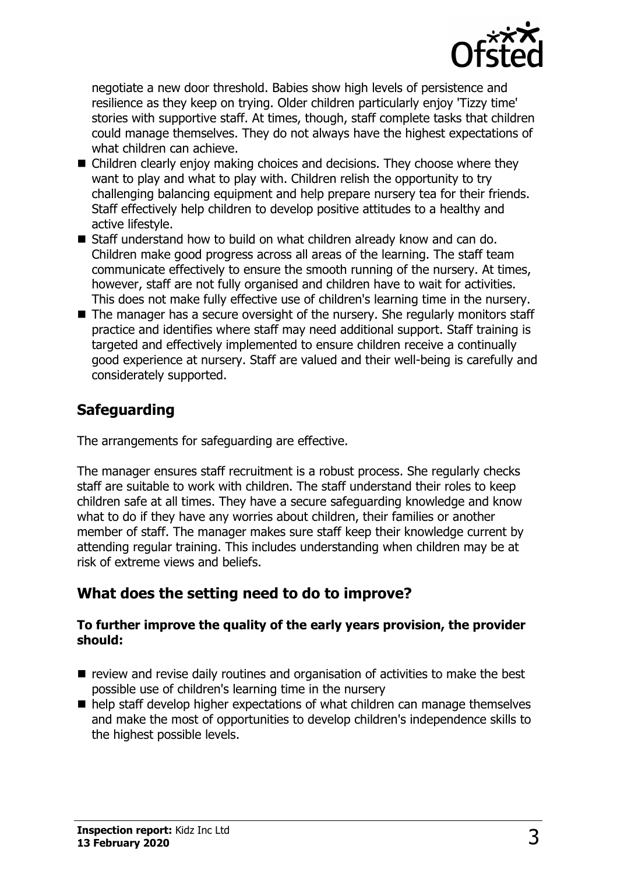

negotiate a new door threshold. Babies show high levels of persistence and resilience as they keep on trying. Older children particularly enjoy 'Tizzy time' stories with supportive staff. At times, though, staff complete tasks that children could manage themselves. They do not always have the highest expectations of what children can achieve.

- $\blacksquare$  Children clearly enjoy making choices and decisions. They choose where they want to play and what to play with. Children relish the opportunity to try challenging balancing equipment and help prepare nursery tea for their friends. Staff effectively help children to develop positive attitudes to a healthy and active lifestyle.
- Staff understand how to build on what children already know and can do. Children make good progress across all areas of the learning. The staff team communicate effectively to ensure the smooth running of the nursery. At times, however, staff are not fully organised and children have to wait for activities. This does not make fully effective use of children's learning time in the nursery.
- $\blacksquare$  The manager has a secure oversight of the nursery. She regularly monitors staff practice and identifies where staff may need additional support. Staff training is targeted and effectively implemented to ensure children receive a continually good experience at nursery. Staff are valued and their well-being is carefully and considerately supported.

## **Safeguarding**

The arrangements for safeguarding are effective.

The manager ensures staff recruitment is a robust process. She regularly checks staff are suitable to work with children. The staff understand their roles to keep children safe at all times. They have a secure safeguarding knowledge and know what to do if they have any worries about children, their families or another member of staff. The manager makes sure staff keep their knowledge current by attending regular training. This includes understanding when children may be at risk of extreme views and beliefs.

## **What does the setting need to do to improve?**

#### **To further improve the quality of the early years provision, the provider should:**

- $\blacksquare$  review and revise daily routines and organisation of activities to make the best possible use of children's learning time in the nursery
- $\blacksquare$  help staff develop higher expectations of what children can manage themselves and make the most of opportunities to develop children's independence skills to the highest possible levels.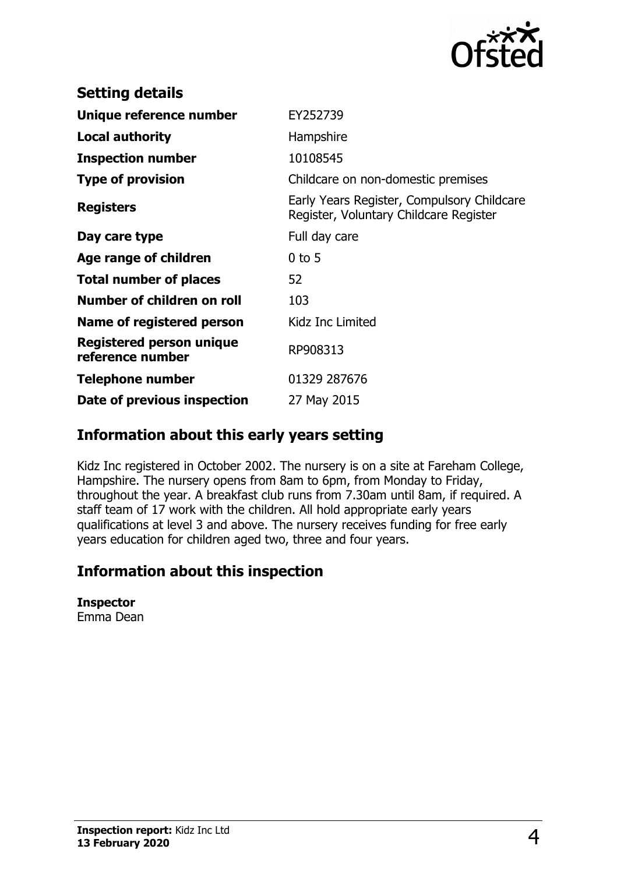

| <b>Setting details</b>                              |                                                                                      |
|-----------------------------------------------------|--------------------------------------------------------------------------------------|
| Unique reference number                             | EY252739                                                                             |
| Local authority                                     | Hampshire                                                                            |
| <b>Inspection number</b>                            | 10108545                                                                             |
| <b>Type of provision</b>                            | Childcare on non-domestic premises                                                   |
| <b>Registers</b>                                    | Early Years Register, Compulsory Childcare<br>Register, Voluntary Childcare Register |
| Day care type                                       | Full day care                                                                        |
| Age range of children                               | $0$ to 5                                                                             |
| <b>Total number of places</b>                       | 52                                                                                   |
| Number of children on roll                          | 103                                                                                  |
| Name of registered person                           | Kidz Inc Limited                                                                     |
| <b>Registered person unique</b><br>reference number | RP908313                                                                             |
| <b>Telephone number</b>                             | 01329 287676                                                                         |
| Date of previous inspection                         | 27 May 2015                                                                          |

## **Information about this early years setting**

Kidz Inc registered in October 2002. The nursery is on a site at Fareham College, Hampshire. The nursery opens from 8am to 6pm, from Monday to Friday, throughout the year. A breakfast club runs from 7.30am until 8am, if required. A staff team of 17 work with the children. All hold appropriate early years qualifications at level 3 and above. The nursery receives funding for free early years education for children aged two, three and four years.

# **Information about this inspection**

#### **Inspector**

Emma Dean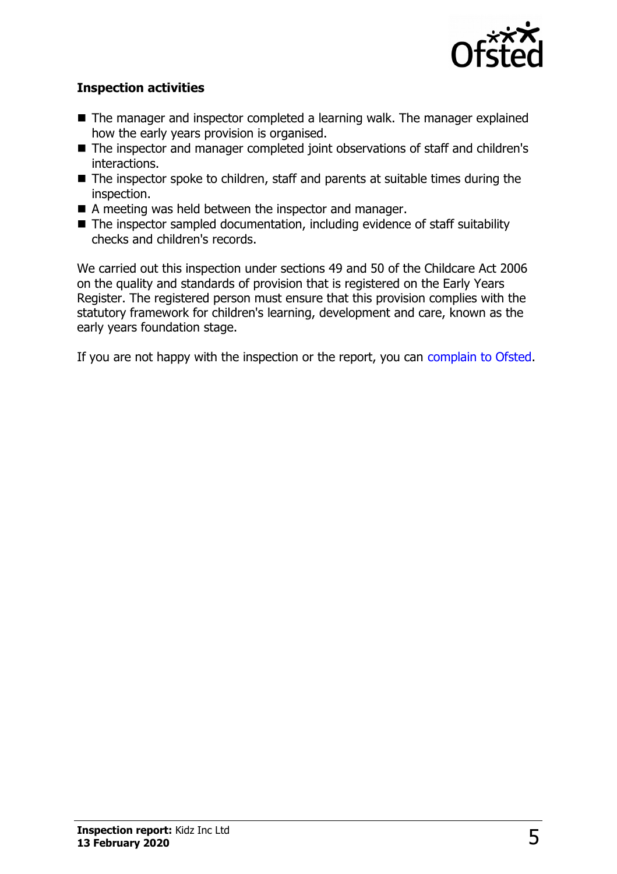

### **Inspection activities**

- $\blacksquare$  The manager and inspector completed a learning walk. The manager explained how the early years provision is organised.
- The inspector and manager completed joint observations of staff and children's interactions.
- $\blacksquare$  The inspector spoke to children, staff and parents at suitable times during the inspection.
- $\blacksquare$  A meeting was held between the inspector and manager.
- $\blacksquare$  The inspector sampled documentation, including evidence of staff suitability checks and children's records.

We carried out this inspection under sections 49 and 50 of the Childcare Act 2006 on the quality and standards of provision that is registered on the Early Years Register. The registered person must ensure that this provision complies with the statutory framework for children's learning, development and care, known as the early years foundation stage.

If you are not happy with the inspection or the report, you can [complain to Ofsted.](http://www.gov.uk/complain-ofsted-report)